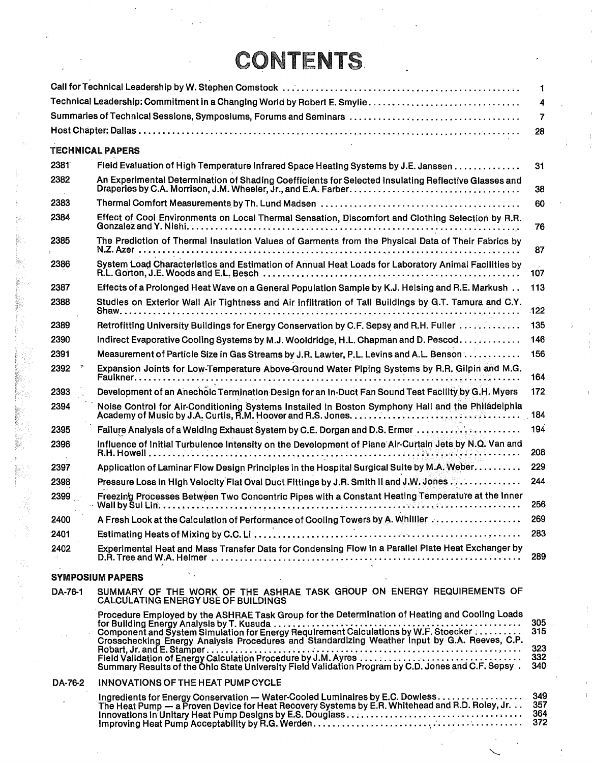## **CONTENTS**

|         |                                                                                                                                                                                                 | $\mathbf{1}$             |
|---------|-------------------------------------------------------------------------------------------------------------------------------------------------------------------------------------------------|--------------------------|
|         |                                                                                                                                                                                                 | 4                        |
|         | Summaries of Technical Sessions, Symposiums, Forums and Seminars                                                                                                                                | $\overline{7}$           |
|         |                                                                                                                                                                                                 | 28                       |
|         | <b>TECHNICAL PAPERS</b>                                                                                                                                                                         |                          |
| 2381    | Field Evaluation of High Temperature Infrared Space Heating Systems by J.E. Janssen                                                                                                             | 31                       |
| 2382    | An Experimental Determination of Shading Coefficients for Selected Insulating Reflective Glasses and                                                                                            | 38                       |
| 2383    |                                                                                                                                                                                                 | 60                       |
| 2384    | Effect of Cool Environments on Local Thermal Sensation, Discomfort and Clothing Selection by R.R.                                                                                               | 76                       |
| 2385    | The Prediction of Thermal Insulation Values of Garments from the Physical Data of Their Fabrics by                                                                                              | 87                       |
| 2386    | System Load Characteristics and Estimation of Annual Heat Loads for Laboratory Animal Facilities by                                                                                             | 107                      |
| 2387    | Effects of a Prolonged Heat Wave on a General Population Sample by K.J. Helsing and R.E. Markush                                                                                                | 113                      |
| 2388    | Studies on Exterior Wall Air Tightness and Air Infiltration of Tall Buildings by G.T. Tamura and C.Y.                                                                                           | 122                      |
| 2389    | Retrofitting University Buildings for Energy Conservation by C.F. Sepsy and R.H. Fuller                                                                                                         | 135                      |
| 2390    | Indirect Evaporative Cooling Systems by M.J. Wooldridge, H.L. Chapman and D. Pescod                                                                                                             | 146                      |
| 2391    | Measurement of Particle Size in Gas Streams by J.R. Lawter, P.L. Levins and A.L. Benson                                                                                                         | 156                      |
| 2392    | Expansion Joints for Low-Temperature Above-Ground Water Piping Systems by R.R. Gilpin and M.G.                                                                                                  | 164                      |
| 2393    | Development of an Anechoic Termination Design for an In-Duct Fan Sound Test Facility by G.H. Myers                                                                                              | 172                      |
| 2394    | Noise Control for Air-Conditioning Systems Installed in Boston Symphony Hall and the Philadelphia                                                                                               | 184                      |
| 2395    |                                                                                                                                                                                                 | 194                      |
| 2396    | Influence of Initial Turbulence Intensity on the Development of Plane Air-Curtain Jets by N.Q. Van and                                                                                          | 208                      |
| 2397    | Application of Laminar Flow Design Principles in the Hospital Surgical Suite by M.A. Weber.                                                                                                     | 229                      |
| 2398    | <b>Pressure Loss in High Velocity Flat Oval Duct Fittings by J.R. Smith II and J.W. Jones 2000 Loss in High Velocity Flat Oval Duct Fittings by J.R. Smith II and J.W. Jones 2000</b>           | 244                      |
| 2399    | Freezing Processes Between Two Concentric Pipes with a Constant Heating Temperature at the Inner                                                                                                | 256                      |
| 2400    | A Fresh Look at the Calculation of Performance of Cooling Towers by A. Whillier                                                                                                                 | 269                      |
| 2401    |                                                                                                                                                                                                 | 283                      |
| 2402    | Experimental Heat and Mass Transfer Data for Condensing Flow in a Parallel Plate Heat Exchanger by                                                                                              | 289                      |
|         | <b>SYMPOSIUM PAPERS</b>                                                                                                                                                                         |                          |
| DA-76-1 | SUMMARY OF THE WORK OF THE ASHRAE TASK GROUP ON ENERGY REQUIREMENTS OF<br>CALCULATING ENERGY USE OF BUILDINGS                                                                                   |                          |
|         | Procedure Employed by the ASHRAE Task Group for the Determination of Heating and Cooling Loads<br>Crosschecking Energy Analysis Procedures and Standardizing Weather Input by G.A. Reeves, C.P. | 305<br>315<br>323<br>332 |
|         | Summary Results of the Ohio State University Field Validation Program by C.D. Jones and C.F. Sepsy.                                                                                             | 340                      |
| DA-76-2 | <b>INNOVATIONS OF THE HEAT PUMP CYCLE</b>                                                                                                                                                       |                          |
|         | Ingredients for Energy Conservation - Water-Cooled Luminaires by E.C. Dowless<br>The Heat Pump — a Proven Device for Heat Recovery Systems by E.R. Whitehead and R.D. Roley, Jr.                | 349<br>357<br>364<br>372 |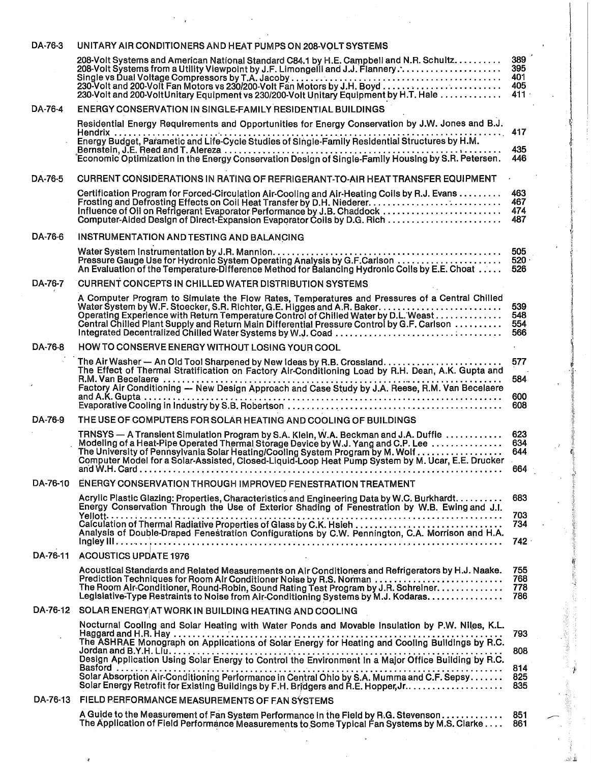| DA-76-3  | UNITARY AIR CONDITIONERS AND HEAT PUMPS ON 208-VOLT SYSTEMS                                                                                                                                                                                                                                                                                             |                                     |
|----------|---------------------------------------------------------------------------------------------------------------------------------------------------------------------------------------------------------------------------------------------------------------------------------------------------------------------------------------------------------|-------------------------------------|
|          | 208-Volt Systems and American National Standard C84.1 by H.E. Campbell and N.R. Schultz<br>208-Volt Systems from a Utility Viewpoint by J.F. Limongelli and J.J. Flannery:<br>230-Volt and 200-VoltUnitary Equipment vs 230/200-Volt Unitary Equipment by H.T. Hale                                                                                     | 389<br>395<br>401<br>405<br>$411 -$ |
| DA-76-4  | ENERGY CONSERVATION IN SINGLE-FAMILY RESIDENTIAL BUILDINGS                                                                                                                                                                                                                                                                                              |                                     |
|          | Residential Energy Requirements and Opportunities for Energy Conservation by J.W. Jones and B.J.                                                                                                                                                                                                                                                        |                                     |
|          | .                                                                                                                                                                                                                                                                                                                                                       | 417                                 |
|          | Economic Optimization in the Energy Conservation Design of Single-Family Housing by S.R. Petersen.                                                                                                                                                                                                                                                      | 435<br>446                          |
| DA-76-5  | CURRENT CONSIDERATIONS IN RATING OF REFRIGERANT-TO-AIR HEAT TRANSFER EQUIPMENT                                                                                                                                                                                                                                                                          |                                     |
|          | Certification Program for Forced-Circulation Air-Cooling and Air-Heating Coils by R.J. Evans<br>Frosting and Defrosting Effects on Coil Heat Transfer by D.H. Niederer<br>Influence of Oil on Refrigerant Evaporator Performance by J.B. Chaddock<br>Computer-Aided Design of Direct-Expansion Evaporator Coils by D.G. Rich                            | 463<br>467<br>474<br>487            |
| DA-76-6  | INSTRUMENTATION AND TESTING AND BALANCING                                                                                                                                                                                                                                                                                                               |                                     |
|          | Pressure Gauge Use for Hydronic System Operating Analysis by G.F.Carlson<br>An Evaluation of the Temperature-Difference Method for Balancing Hydronic Coils by E.E. Choat                                                                                                                                                                               | 505<br>520<br>526                   |
| DA-76-7  | <b>CURRENT CONCEPTS IN CHILLED WATER DISTRIBUTION SYSTEMS</b>                                                                                                                                                                                                                                                                                           |                                     |
|          | A Computer Program to Simulate the Flow Rates, Temperatures and Pressures of a Central Chilled<br>Operating Experience with Return Temperature Control of Chilled Water by D.L. Weast<br>Central Chilled Plant Supply and Return Main Differential Pressure Control by G.F. Carlson                                                                     | 539<br>548<br>554<br>566            |
| DA-76-8  | HOW TO CONSERVE ENERGY WITHOUT LOSING YOUR COOL                                                                                                                                                                                                                                                                                                         | $\sim$                              |
|          | The Effect of Thermal Stratification on Factory Air-Conditioning Load by R.H. Dean, A.K. Gupta and<br>R.M. Van Becelaere                                                                                                                                                                                                                                | 577<br>584                          |
|          | Factory Air Conditioning - New Design Approach and Case Study by J.A. Reese, R.M. Van Becelaere                                                                                                                                                                                                                                                         | 600<br>608                          |
| DA-76-9  | THE USE OF COMPUTERS FOR SOLAR HEATING AND COOLING OF BUILDINGS                                                                                                                                                                                                                                                                                         |                                     |
|          | TRNSYS — A Transient Simulation Program by S.A. Klein, W.A. Beckman and J.A. Duffie                                                                                                                                                                                                                                                                     | 623                                 |
|          | Modeling of a Heat-Pipe Operated Thermal Storage Device by W.J. Yang and C.P. Lee<br>The University of Pennsylvania Solar Heating/Cooling System Program by M. Wolf<br>Computer Model for a Solar-Assisted, Closed-Liquid-Loop Heat Pump System by M. Ucar, E.E. Drucker                                                                                | 634<br>644<br>664                   |
| DA-76-10 | <b>ENERGY CONSERVATION THROUGH IMPROVED FENESTRATION TREATMENT</b>                                                                                                                                                                                                                                                                                      |                                     |
|          | Acrylic Plastic Glazing: Properties, Characteristics and Engineering Data by W.C. Burkhardt.                                                                                                                                                                                                                                                            | 683                                 |
|          | Energy Conservation Through the Use of Exterior Shading of Fenestration by W.B. Ewing and J.I.                                                                                                                                                                                                                                                          | 703                                 |
|          | Analysis of Double-Draped Fenestration Configurations by C.W. Pennington, C.A. Morrison and H.A.                                                                                                                                                                                                                                                        | 734<br>742.                         |
| DA-76-11 | <b>ACOUSTICS UPDATE 1976</b>                                                                                                                                                                                                                                                                                                                            |                                     |
|          | Acoustical Standards and Related Measurements on Air Conditioners and Refrigerators by H.J. Naake.<br>Prediction Techniques for Room Air Conditioner Noise by R.S. Norman<br>The Room Air-Conditioner, Round-Robin, Sound Rating Test Program by J.R. Schreiner.<br>Legislative-Type Restraints to Noise from Air-Conditioning Systems by M.J. Kodaras. | 755<br>768<br>778<br>786            |
| DA-76-12 | SOLAR ENERGY AT WORK IN BUILDING HEATING AND COOLING                                                                                                                                                                                                                                                                                                    |                                     |
|          | Nocturnal Cooling and Solar Heating with Water Ponds and Movable Insulation by P.W. Niles, K.L.                                                                                                                                                                                                                                                         | 793                                 |
|          |                                                                                                                                                                                                                                                                                                                                                         |                                     |
|          | Design Application Using Solar Energy to Control the Environment in a Major Office Building by R.C.                                                                                                                                                                                                                                                     | 808                                 |
|          | Basford<br>Solar Absorption Air-Conditioning Performance in Central Ohio by S.A. Mumma and C.F. Sepsy.<br>Solar Energy Retrofit for Existing Buildings by F.H. Bridgers and R.E. Hopper, Jr.                                                                                                                                                            | 814<br>825<br>835                   |
| DA-76-13 | FIELD PERFORMANCE MEASUREMENTS OF FAN SYSTEMS                                                                                                                                                                                                                                                                                                           |                                     |
|          | A Guide to the Measurement of Fan System Performance in the Field by R.G. Stevenson<br>The Application of Field Performance Measurements to Some Typical Fan Systems by M.S. Clarke                                                                                                                                                                     | 851<br>861                          |
|          |                                                                                                                                                                                                                                                                                                                                                         |                                     |